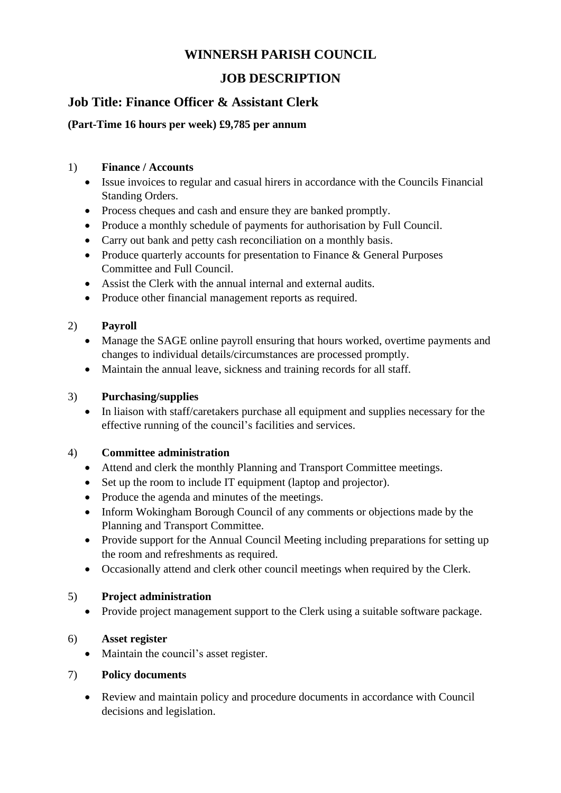# **WINNERSH PARISH COUNCIL**

# **JOB DESCRIPTION**

# **Job Title: Finance Officer & Assistant Clerk**

### **(Part-Time 16 hours per week) £9,785 per annum**

#### 1) **Finance / Accounts**

- Issue invoices to regular and casual hirers in accordance with the Councils Financial Standing Orders.
- Process cheques and cash and ensure they are banked promptly.
- Produce a monthly schedule of payments for authorisation by Full Council.
- Carry out bank and petty cash reconciliation on a monthly basis.
- Produce quarterly accounts for presentation to Finance & General Purposes Committee and Full Council.
- Assist the Clerk with the annual internal and external audits.
- Produce other financial management reports as required.

### 2) **Payroll**

- Manage the SAGE online payroll ensuring that hours worked, overtime payments and changes to individual details/circumstances are processed promptly.
- Maintain the annual leave, sickness and training records for all staff.

#### 3) **Purchasing/supplies**

• In liaison with staff/caretakers purchase all equipment and supplies necessary for the effective running of the council's facilities and services.

#### 4) **Committee administration**

- Attend and clerk the monthly Planning and Transport Committee meetings.
- Set up the room to include IT equipment (laptop and projector).
- Produce the agenda and minutes of the meetings.
- Inform Wokingham Borough Council of any comments or objections made by the Planning and Transport Committee.
- Provide support for the Annual Council Meeting including preparations for setting up the room and refreshments as required.
- Occasionally attend and clerk other council meetings when required by the Clerk.

### 5) **Project administration**

• Provide project management support to the Clerk using a suitable software package.

#### 6) **Asset register**

• Maintain the council's asset register.

#### 7) **Policy documents**

• Review and maintain policy and procedure documents in accordance with Council decisions and legislation.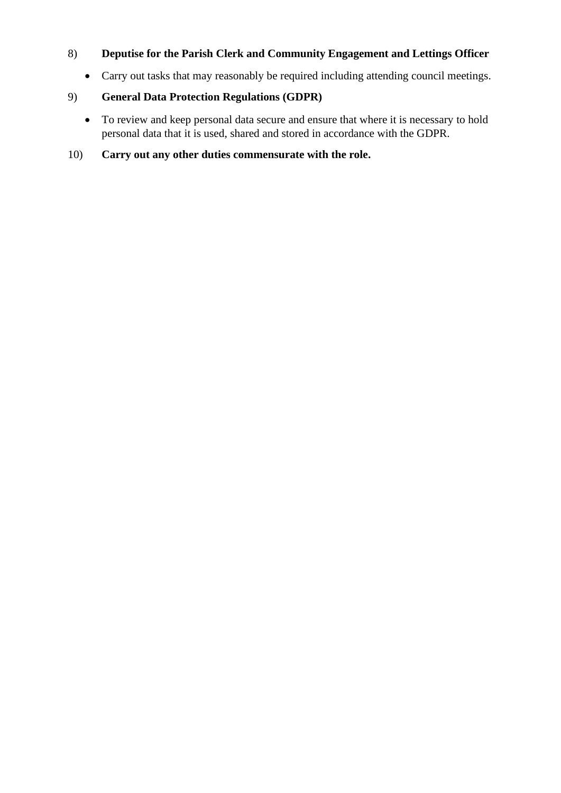## 8) **Deputise for the Parish Clerk and Community Engagement and Lettings Officer**

• Carry out tasks that may reasonably be required including attending council meetings.

## 9) **General Data Protection Regulations (GDPR)**

• To review and keep personal data secure and ensure that where it is necessary to hold personal data that it is used, shared and stored in accordance with the GDPR.

## 10) **Carry out any other duties commensurate with the role.**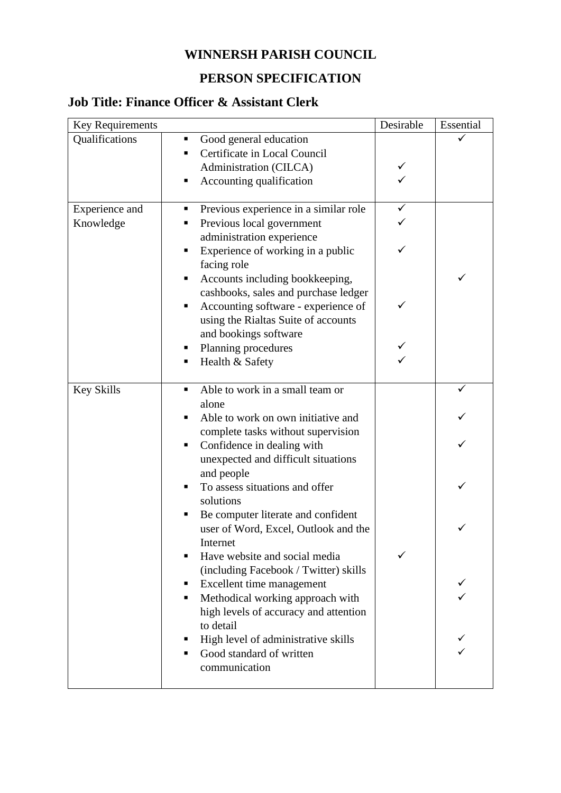# **WINNERSH PARISH COUNCIL**

## **PERSON SPECIFICATION**

# **Job Title: Finance Officer & Assistant Clerk**

| Key Requirements  |                                                                            | Desirable | Essential |
|-------------------|----------------------------------------------------------------------------|-----------|-----------|
| Qualifications    | Good general education<br>п                                                |           |           |
|                   | Certificate in Local Council                                               |           |           |
|                   | Administration (CILCA)                                                     |           |           |
|                   | Accounting qualification<br>п                                              |           |           |
| Experience and    | Previous experience in a similar role<br>п                                 |           |           |
| Knowledge         | Previous local government                                                  |           |           |
|                   | administration experience                                                  |           |           |
|                   | Experience of working in a public                                          |           |           |
|                   | facing role                                                                |           |           |
|                   | Accounts including bookkeeping,                                            |           |           |
|                   | cashbooks, sales and purchase ledger                                       |           |           |
|                   | Accounting software - experience of                                        |           |           |
|                   | using the Rialtas Suite of accounts                                        |           |           |
|                   | and bookings software                                                      |           |           |
|                   | Planning procedures                                                        |           |           |
|                   | Health & Safety<br>п                                                       |           |           |
| <b>Key Skills</b> | Able to work in a small team or<br>п                                       |           |           |
|                   | alone                                                                      |           |           |
|                   | Able to work on own initiative and                                         |           |           |
|                   | complete tasks without supervision                                         |           |           |
|                   | Confidence in dealing with<br>п                                            |           |           |
|                   | unexpected and difficult situations                                        |           |           |
|                   | and people                                                                 |           |           |
|                   | To assess situations and offer                                             |           |           |
|                   | solutions                                                                  |           |           |
|                   | Be computer literate and confident<br>user of Word, Excel, Outlook and the |           |           |
|                   | Internet                                                                   |           |           |
|                   | Have website and social media                                              |           |           |
|                   | (including Facebook / Twitter) skills                                      |           |           |
|                   | Excellent time management                                                  |           |           |
|                   | Methodical working approach with<br>п                                      |           |           |
|                   | high levels of accuracy and attention                                      |           |           |
|                   | to detail                                                                  |           |           |
|                   | High level of administrative skills                                        |           |           |
|                   | Good standard of written                                                   |           |           |
|                   | communication                                                              |           |           |
|                   |                                                                            |           |           |